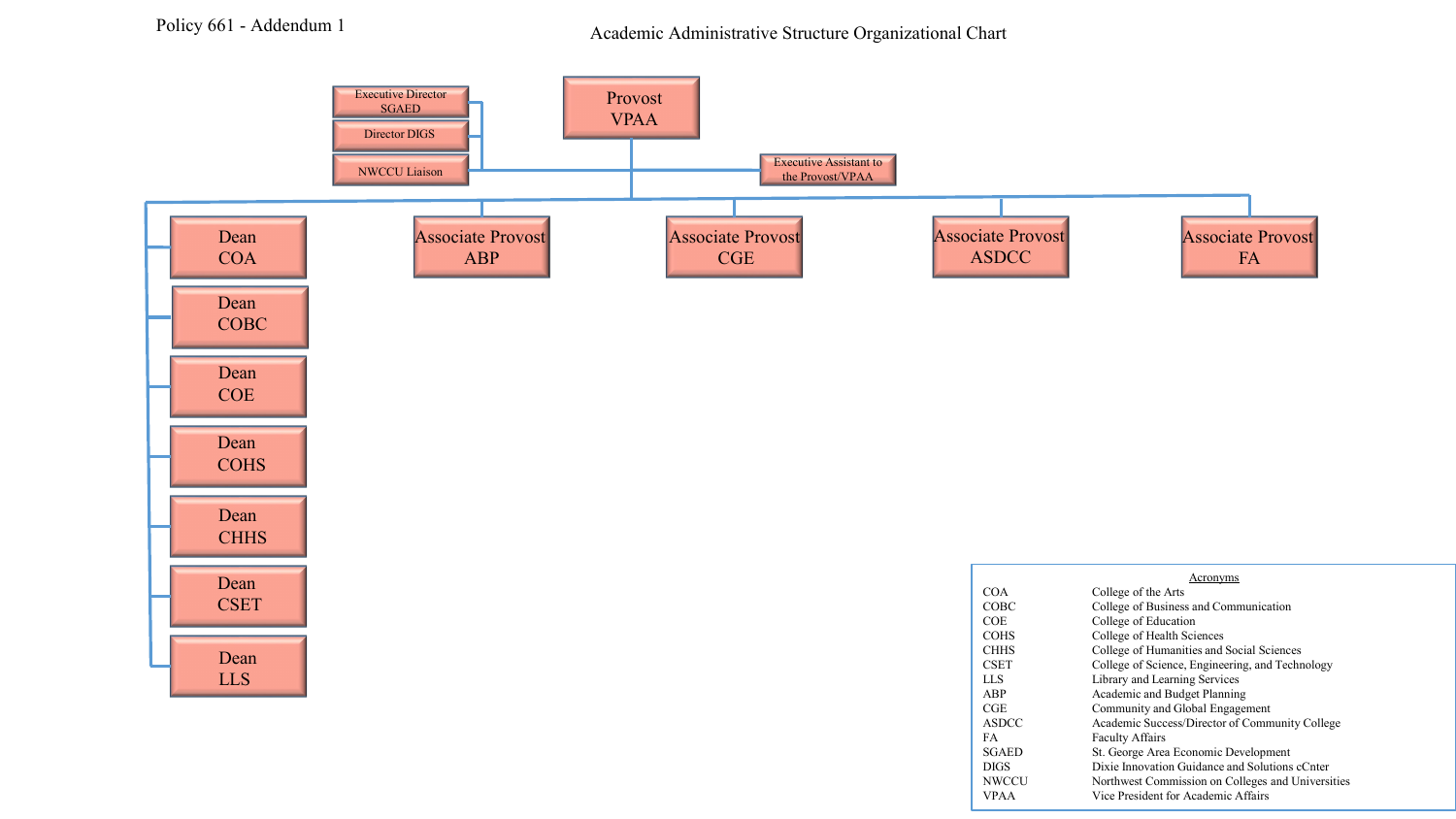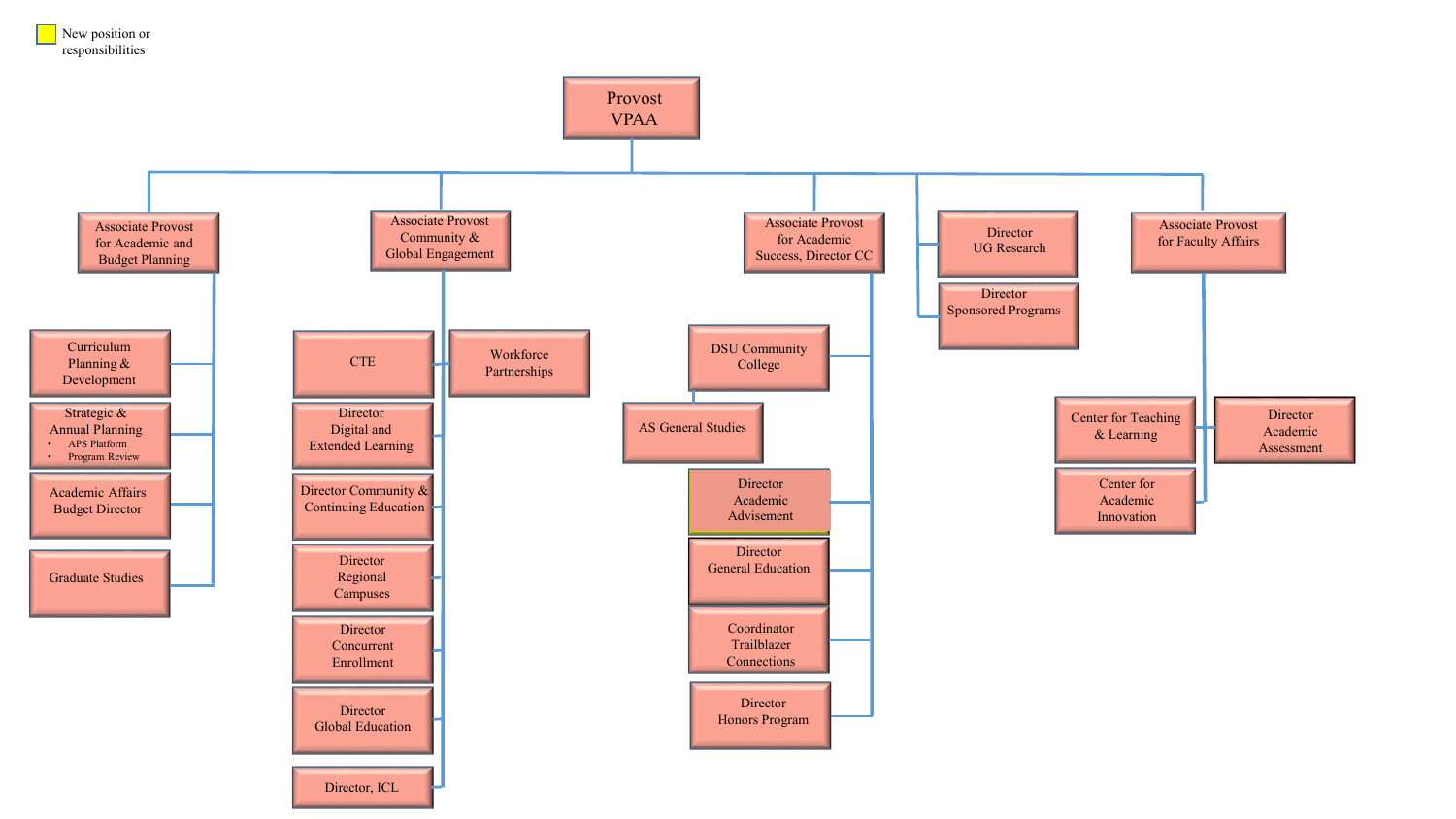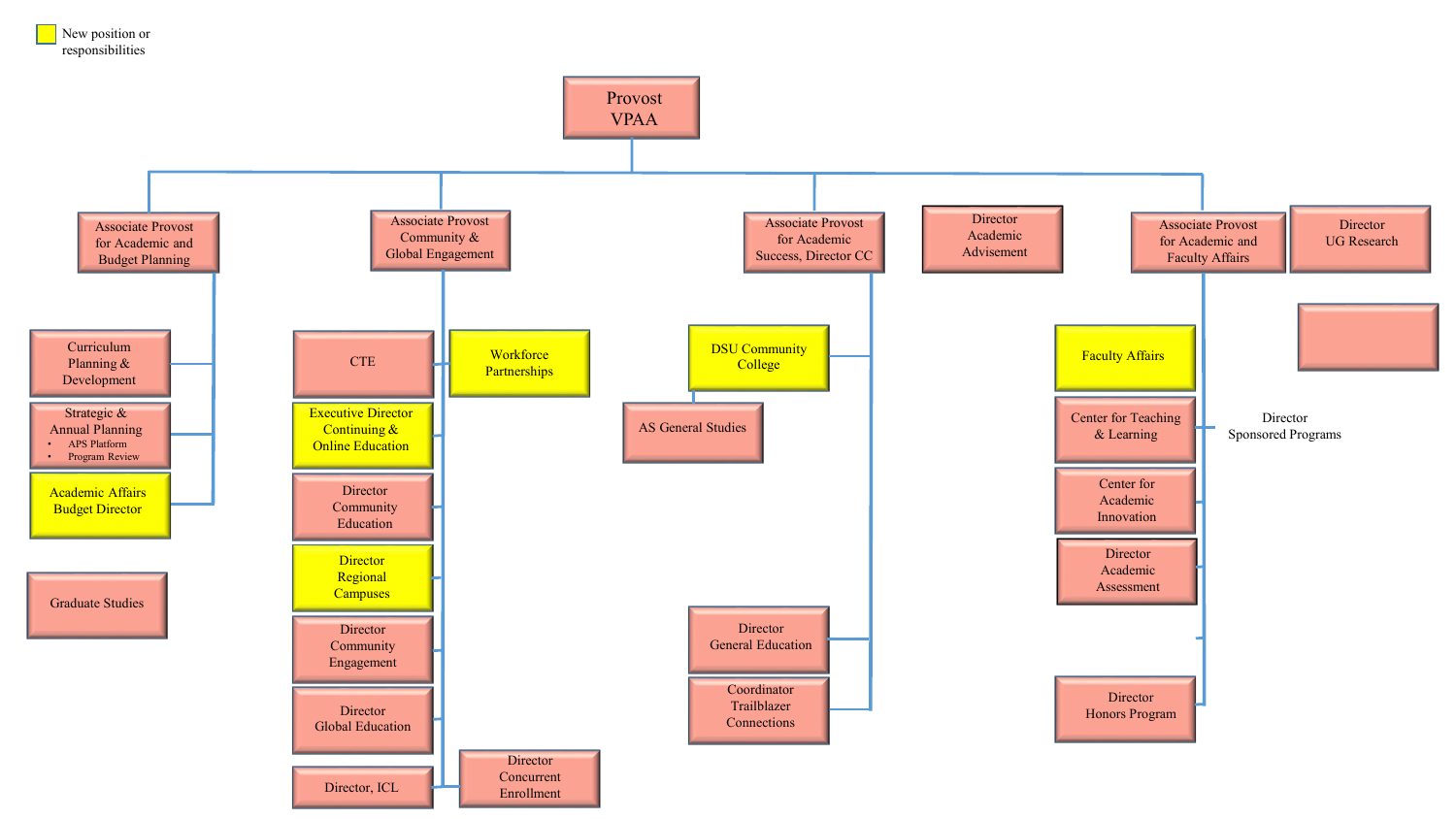